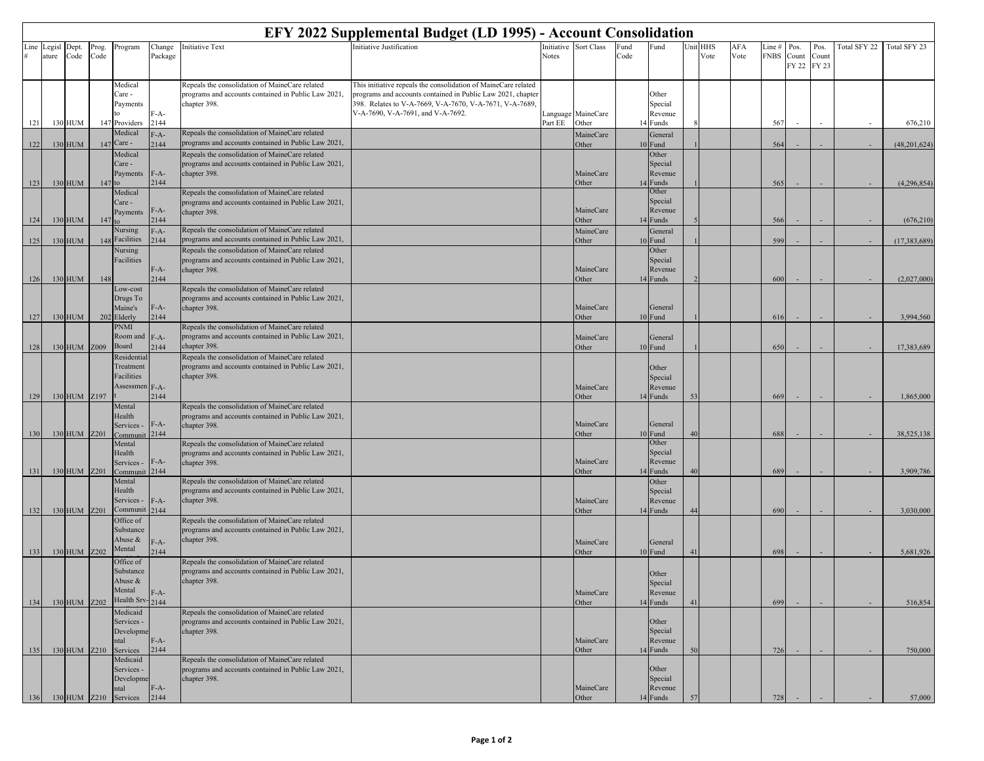| EFY 2022 Supplemental Budget (LD 1995) - Account Consolidation |                 |               |               |                                                                                  |                        |                                                                                                                                                                              |                                                                                                                                                                                                                               |         |                             |                                                     |    |                  |             |                       |                           |                        |              |                   |
|----------------------------------------------------------------|-----------------|---------------|---------------|----------------------------------------------------------------------------------|------------------------|------------------------------------------------------------------------------------------------------------------------------------------------------------------------------|-------------------------------------------------------------------------------------------------------------------------------------------------------------------------------------------------------------------------------|---------|-----------------------------|-----------------------------------------------------|----|------------------|-------------|-----------------------|---------------------------|------------------------|--------------|-------------------|
| Line                                                           | Legisl<br>ature | Dept.<br>Code | Prog.<br>Code | Program                                                                          | Change<br>Package      | <b>Initiative Text</b>                                                                                                                                                       | Initiative Justification                                                                                                                                                                                                      | Notes   | Initiative Sort Class       | Fund<br>Fund<br>Code                                |    | Unit HHS<br>Vote | AFA<br>Vote | Line #<br><b>FNBS</b> | Pos.<br>$C$ ount<br>FY 22 | Pos.<br>Count<br>FY 23 | Total SFY 22 | Total SFY 23      |
|                                                                |                 |               |               | Medical<br>Care -<br>Payments<br>to                                              | F-A-                   | Repeals the consolidation of MaineCare related<br>programs and accounts contained in Public Law 2021,<br>chapter 398.                                                        | This initiative repeals the consolidation of MaineCare related<br>programs and accounts contained in Public Law 2021, chapter<br>398. Relates to V-A-7669, V-A-7670, V-A-7671, V-A-7689,<br>V-A-7690, V-A-7691, and V-A-7692. |         | Language MaineCare          | Other<br>Special<br>Revenue                         |    |                  |             |                       |                           |                        |              |                   |
| 121                                                            |                 | 130 HUM       |               | 147 Providers<br>Medical                                                         | 2144                   | Repeals the consolidation of MaineCare related                                                                                                                               |                                                                                                                                                                                                                               | Part EE | Other                       | 14 Funds                                            |    |                  |             | 567                   |                           |                        |              | 676,210           |
| 122                                                            |                 | 130 HUM       |               | 147 Care -                                                                       | $F-A-$<br>2144         | programs and accounts contained in Public Law 2021,                                                                                                                          |                                                                                                                                                                                                                               |         | MaineCare<br>Other          | General<br>10 Fund                                  |    |                  |             | 564                   |                           |                        |              | (48, 201, 624)    |
|                                                                |                 |               |               | Medical<br>Care -<br>Payments                                                    | $F-A-$                 | Repeals the consolidation of MaineCare related<br>programs and accounts contained in Public Law 2021,<br>chapter 398.                                                        |                                                                                                                                                                                                                               |         | MaineCare                   | Other<br>Special<br>Revenue                         |    |                  |             |                       |                           |                        |              |                   |
| 123                                                            |                 | 130 HUM       |               | $147$ to                                                                         | 2144                   |                                                                                                                                                                              |                                                                                                                                                                                                                               |         | Other                       | 14 Funds<br>Other                                   |    |                  |             | 565                   |                           |                        |              | (4,296,854)       |
| 124                                                            |                 | 130 HUM       | 147           | Medical<br>Care -<br>Payments                                                    | $F-A-$<br>2144         | Repeals the consolidation of MaineCare related<br>programs and accounts contained in Public Law 2021,<br>chapter 398.                                                        |                                                                                                                                                                                                                               |         | MaineCare<br>Other          | Special<br>Revenue<br>14 Funds                      |    |                  |             | 566                   |                           |                        |              | (676, 210)        |
|                                                                |                 |               |               | Nursing                                                                          | $F-A-$                 | Repeals the consolidation of MaineCare related                                                                                                                               |                                                                                                                                                                                                                               |         | MaineCare                   | General                                             |    |                  |             |                       |                           |                        |              |                   |
| 125                                                            |                 | 130 HUM       |               | 148 Facilities<br>Nursing<br>Facilities                                          | 2144<br>$F-A-$         | programs and accounts contained in Public Law 2021,<br>Repeals the consolidation of MaineCare related<br>programs and accounts contained in Public Law 2021,<br>chapter 398. |                                                                                                                                                                                                                               |         | Other<br>MaineCare          | 10 Fund<br>Other<br>Special<br>Revenue              |    |                  |             | 599                   |                           |                        |              | (17, 383, 689)    |
| 126                                                            |                 | 130 HUM       | 148           |                                                                                  | 2144                   |                                                                                                                                                                              |                                                                                                                                                                                                                               |         | Other                       | 14 Funds                                            |    |                  |             | 600                   |                           |                        |              | (2,027,000)       |
| 127                                                            |                 | 130 HUM       |               | Low-cost<br>Drugs To<br>Maine's<br>202 Elderly                                   | $F-A-$<br>2144         | Repeals the consolidation of MaineCare related<br>programs and accounts contained in Public Law 2021,<br>chapter 398.                                                        |                                                                                                                                                                                                                               |         | MaineCare<br>Other          | General<br>10 Fund                                  |    |                  |             | 616                   |                           |                        |              | 3,994,560         |
| 128                                                            |                 | 130 HUM Z009  |               | PNMI<br>Room and F-A-<br>Board                                                   | 2144                   | Repeals the consolidation of MaineCare related<br>programs and accounts contained in Public Law 2021,<br>chapter 398.                                                        |                                                                                                                                                                                                                               |         | MaineCare<br>Other          | General<br>10 Fund                                  |    |                  |             | 650                   |                           |                        |              | 17,383,689        |
| 129                                                            |                 | 130 HUM Z197  |               | Residentia<br>Treatment<br>Facilities<br>Assessmen F-A-                          | 2144                   | Repeals the consolidation of MaineCare related<br>programs and accounts contained in Public Law 2021,<br>chapter 398.                                                        |                                                                                                                                                                                                                               |         | MaineCare<br>Other          | Other<br>Special<br>Revenue<br>14 Funds             | 53 |                  |             | 669                   |                           |                        |              | 1,865,000         |
| 130                                                            |                 | 130 HUM Z201  |               | Mental<br>Health<br>Services -                                                   | $F-A-$<br>2144         | Repeals the consolidation of MaineCare related<br>programs and accounts contained in Public Law 2021,<br>chapter 398.                                                        |                                                                                                                                                                                                                               |         | MaineCare<br>Other          | General<br>10 Fund                                  |    |                  |             | 688                   |                           |                        |              | 38,525,138        |
| 131                                                            |                 | 130 HUM Z201  |               | Mental<br>Health<br>Services -<br>Communit                                       | $F-A-$<br>2144         | Repeals the consolidation of MaineCare related<br>programs and accounts contained in Public Law 2021,<br>chapter 398.                                                        |                                                                                                                                                                                                                               |         | MaineCare<br>Other          | Other<br>Special<br>Revenue<br>14 Funds             |    |                  |             | 689                   |                           |                        |              | 3,909,786         |
| 132                                                            |                 | 130 HUM Z201  |               | Mental<br>Health<br>Services -<br>Communit                                       | $F-A-$<br>2144         | Repeals the consolidation of MaineCare related<br>programs and accounts contained in Public Law 2021,<br>chapter 398.                                                        |                                                                                                                                                                                                                               |         | MaineCare<br>Other          | Other<br>Special<br>Revenue<br>14 Funds             |    |                  |             | 690                   |                           |                        |              | 3,030,000         |
| 133                                                            |                 | 130 HUM Z202  |               | Office of<br>Substance<br>Abuse $\&$<br>Mental                                   | $F-A-$<br>2144         | Repeals the consolidation of MaineCare related<br>programs and accounts contained in Public Law 2021,<br>chapter 398.                                                        |                                                                                                                                                                                                                               |         | MaineCare<br>Other          | General<br>10 Fund                                  |    |                  |             | 698                   |                           |                        |              | 5,681,926         |
| 134                                                            |                 | 130 HUM Z202  |               | Office of<br>Substance<br>Abuse &<br>Mental<br>Health Srv-2144                   | $F-A-$                 | Repeals the consolidation of MaineCare related<br>programs and accounts contained in Public Law 2021,<br>chapter 398.                                                        |                                                                                                                                                                                                                               |         | MaineCare<br>Other          | Other<br>Special<br>Revenue<br>14 Funds             |    |                  |             | 699                   |                           |                        |              | 516,854           |
|                                                                |                 |               |               | Medicaid<br>Services -<br>Developme<br>ntal                                      | $F-A-$                 | Repeals the consolidation of MaineCare related<br>programs and accounts contained in Public Law 2021,<br>chapter 398.                                                        |                                                                                                                                                                                                                               |         | MaineCare                   | Other<br>Special<br>Revenue                         |    |                  |             |                       |                           |                        |              |                   |
| 135<br>136                                                     |                 | 130 HUM Z210  |               | Services<br>Medicaid<br>Services -<br>Developme<br>ntal<br>130 HUM Z210 Services | 2144<br>$F-A-$<br>2144 | Repeals the consolidation of MaineCare related<br>programs and accounts contained in Public Law 2021,<br>chapter 398.                                                        |                                                                                                                                                                                                                               |         | Other<br>MaineCare<br>Other | 14 Funds<br>Other<br>Special<br>Revenue<br>14 Funds | 5( |                  |             | 726<br>728            |                           |                        |              | 750,000<br>57,000 |